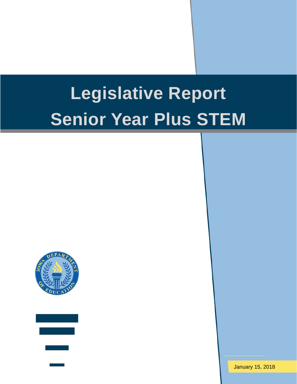# **Legislative Report Senior Year Plus STEM**





January 15, 2018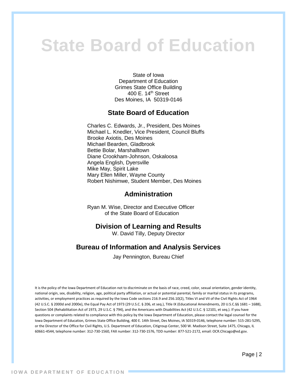# **State Board of Education**

State of Iowa Department of Education Grimes State Office Building 400 E. 14th Street Des Moines, IA 50319-0146

#### **State Board of Education**

Charles C. Edwards, Jr., President, Des Moines Michael L. Knedler, Vice President, Council Bluffs Brooke Axiotis, Des Moines Michael Bearden, Gladbrook Bettie Bolar, Marshalltown Diane Crookham-Johnson, Oskaloosa Angela English, Dyersville Mike May, Spirit Lake Mary Ellen Miller, Wayne County Robert Nishimwe, Student Member, Des Moines

#### **Administration**

Ryan M. Wise, Director and Executive Officer of the State Board of Education

#### **Division of Learning and Results**

W. David Tilly, Deputy Director

#### **Bureau of Information and Analysis Services**

Jay Pennington, Bureau Chief

It is the policy of the Iowa Department of Education not to discriminate on the basis of race, creed, color, sexual orientation, gender identity, national origin, sex, disability, religion, age, political party affiliation, or actual or potential parental, family or marital status in its programs, activities, or employment practices as required by the Iowa Code sections 216.9 and 256.10(2), Titles VI and VII of the Civil Rights Act of 1964 (42 U.S.C. § 2000d and 2000e), the Equal Pay Act of 1973 (29 U.S.C. § 206, et seq.), Title IX (Educational Amendments, 20 U.S.C.§§ 1681 – 1688), Section 504 (Rehabilitation Act of 1973, 29 U.S.C. § 794), and the Americans with Disabilities Act (42 U.S.C. § 12101, et seq.). If you have questions or complaints related to compliance with this policy by the Iowa Department of Education, please contact the legal counsel for the Iowa Department of Education, Grimes State Office Building, 400 E. 14th Street, Des Moines, IA 50319-0146, telephone number: 515-281-5295, or the Director of the Office for Civil Rights, U.S. Department of Education, Citigroup Center, 500 W. Madison Street, Suite 1475, Chicago, IL 60661-4544, telephone number: 312-730-1560, FAX number: 312-730-1576, TDD number: 877-521-2172, email: OCR.Chicago@ed.gov.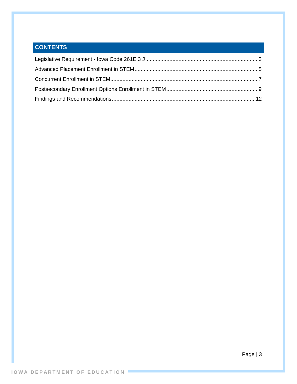# <span id="page-2-0"></span>**CONTENTS**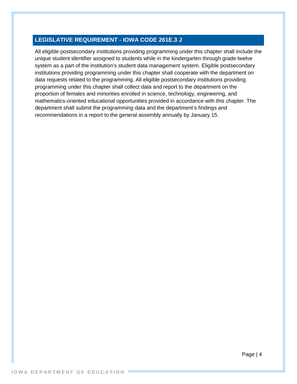#### **LEGISLATIVE REQUIREMENT - IOWA CODE 261E.3 J**

All eligible postsecondary institutions providing programming under this chapter shall include the unique student identifier assigned to students while in the kindergarten through grade twelve system as a part of the institution's student data management system. Eligible postsecondary institutions providing programming under this chapter shall cooperate with the department on data requests related to the programming. All eligible postsecondary institutions providing programming under this chapter shall collect data and report to the department on the proportion of females and minorities enrolled in science, technology, engineering, and mathematics-oriented educational opportunities provided in accordance with this chapter. The department shall submit the programming data and the department's findings and recommendations in a report to the general assembly annually by January 15.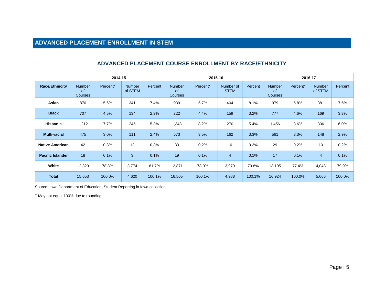# **ADVANCED PLACEMENT ENROLLMENT IN STEM**

<span id="page-4-0"></span>

|                         |                                              | 2014-15  |                          |         | 2015-16                                      |          |                          |         | 2016-17                               |          |                          |         |
|-------------------------|----------------------------------------------|----------|--------------------------|---------|----------------------------------------------|----------|--------------------------|---------|---------------------------------------|----------|--------------------------|---------|
| <b>Race/Ethnicity</b>   | <b>Number</b><br><b>of</b><br><b>Courses</b> | Percent* | <b>Number</b><br>of STEM | Percent | <b>Number</b><br><b>of</b><br><b>Courses</b> | Percent* | Number of<br><b>STEM</b> | Percent | <b>Number</b><br><b>of</b><br>Courses | Percent* | <b>Number</b><br>of STEM | Percent |
| Asian                   | 870                                          | 5.6%     | 341                      | 7.4%    | 939                                          | 5.7%     | 404                      | 8.1%    | 979                                   | 5.8%     | 381                      | 7.5%    |
| <b>Black</b>            | 707                                          | 4.5%     | 134                      | 2.9%    | 722                                          | 4.4%     | 159                      | 3.2%    | 777                                   | 4.6%     | 169                      | 3.3%    |
| Hispanic                | 1,212                                        | 7.7%     | 245                      | 5.3%    | 1,348                                        | 8.2%     | 270                      | 5.4%    | 1,456                                 | 8.6%     | 306                      | 6.0%    |
| <b>Multi-racial</b>     | 475                                          | 3.0%     | 111                      | 2.4%    | 573                                          | 3.5%     | 162                      | 3.3%    | 561                                   | 3.3%     | 148                      | 2.9%    |
| <b>Native American</b>  | 42                                           | 0.3%     | 12                       | 0.3%    | 33                                           | 0.2%     | 10                       | 0.2%    | 29                                    | 0.2%     | 10                       | 0.2%    |
| <b>Pacific Islander</b> | 18                                           | 0.1%     | 3                        | 0.1%    | 19                                           | 0.1%     | $\overline{4}$           | 0.1%    | 17                                    | 0.1%     | 4                        | 0.1%    |
| White                   | 12,329                                       | 78.8%    | 3,774                    | 81.7%   | 12,871                                       | 78.0%    | 3,979                    | 79.8%   | 13,105                                | 77.4%    | 4,048                    | 79.9%   |
| <b>Total</b>            | 15,653                                       | 100.0%   | 4,620                    | 100.1%  | 16,505                                       | 100.1%   | 4,988                    | 100.1%  | 16,924                                | 100.0%   | 5,066                    | 100.0%  |

#### **ADVANCED PLACEMENT COURSE ENROLLMENT BY RACE/ETHNICITY**

Source: Iowa Department of Education, Student Reporting in Iowa collection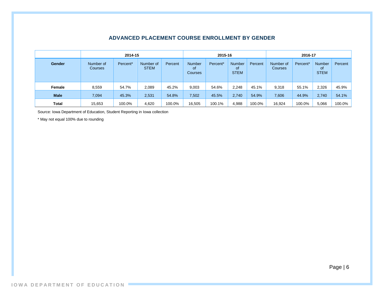|              | 2014-15              |          |                          |         | 2015-16                               |          |                                    |         | 2016-17                     |          |                                    |         |
|--------------|----------------------|----------|--------------------------|---------|---------------------------------------|----------|------------------------------------|---------|-----------------------------|----------|------------------------------------|---------|
| Gender       | Number of<br>Courses | Percent* | Number of<br><b>STEM</b> | Percent | <b>Number</b><br><b>of</b><br>Courses | Percent* | <b>Number</b><br>οf<br><b>STEM</b> | Percent | Number of<br><b>Courses</b> | Percent* | <b>Number</b><br>0f<br><b>STEM</b> | Percent |
| Female       | 8,559                | 54.7%    | 2,089                    | 45.2%   | 9,003                                 | 54.6%    | 2,248                              | 45.1%   | 9,318                       | 55.1%    | 2,326                              | 45.9%   |
| <b>Male</b>  | 7,094                | 45.3%    | 2,531                    | 54.8%   | 7,502                                 | 45.5%    | 2,740                              | 54.9%   | 7,606                       | 44.9%    | 2,740                              | 54.1%   |
| <b>Total</b> | 15,653               | 100.0%   | 4,620                    | 100.0%  | 16,505                                | 100.1%   | 4,988                              | 100.0%  | 16,924                      | 100.0%   | 5,066                              | 100.0%  |

#### **ADVANCED PLACEMENT COURSE ENROLLMENT BY GENDER**

Source: Iowa Department of Education, Student Reporting in Iowa collection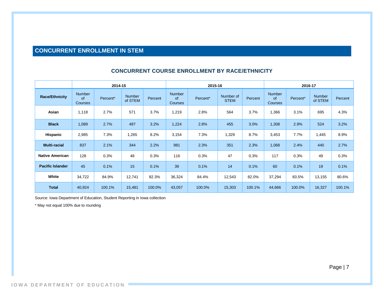## **CONCURRENT ENROLLMENT IN STEM**

<span id="page-6-0"></span>

|                         |                                              | 2014-15  |                          |         | 2015-16                               |          |                          |         | 2016-17                                      |          |                   |         |
|-------------------------|----------------------------------------------|----------|--------------------------|---------|---------------------------------------|----------|--------------------------|---------|----------------------------------------------|----------|-------------------|---------|
| <b>Race/Ethnicity</b>   | <b>Number</b><br><b>of</b><br><b>Courses</b> | Percent* | <b>Number</b><br>of STEM | Percent | <b>Number</b><br><b>of</b><br>Courses | Percent* | Number of<br><b>STEM</b> | Percent | <b>Number</b><br><b>of</b><br><b>Courses</b> | Percent* | Number<br>of STEM | Percent |
| Asian                   | 1,118                                        | 2.7%     | 571                      | 3.7%    | 1,219                                 | 2.8%     | 564                      | 3.7%    | 1,366                                        | 3.1%     | 695               | 4.3%    |
| <b>Black</b>            | 1,089                                        | 2.7%     | 497                      | 3.2%    | 1,224                                 | 2.8%     | 455                      | 3.0%    | 1,308                                        | 2.9%     | 524               | 3.2%    |
| Hispanic                | 2,985                                        | 7.3%     | 1,265                    | 8.2%    | 3,154                                 | 7.3%     | 1,329                    | 8.7%    | 3,453                                        | 7.7%     | 1,445             | 8.9%    |
| <b>Multi-racial</b>     | 837                                          | 2.1%     | 344                      | 2.2%    | 981                                   | 2.3%     | 351                      | 2.3%    | 1,068                                        | 2.4%     | 440               | 2.7%    |
| <b>Native American</b>  | 128                                          | 0.3%     | 48                       | 0.3%    | 116                                   | 0.3%     | 47                       | 0.3%    | 117                                          | 0.3%     | 49                | 0.3%    |
| <b>Pacific Islander</b> | 45                                           | 0.1%     | 15                       | 0.1%    | 39                                    | 0.1%     | 14                       | 0.1%    | 60                                           | 0.1%     | 19                | 0.1%    |
| White                   | 34,722                                       | 84.9%    | 12,741                   | 82.3%   | 36,324                                | 84.4%    | 12,543                   | 82.0%   | 37,294                                       | 83.5%    | 13,155            | 80.6%   |
| <b>Total</b>            | 40,924                                       | 100.1%   | 15,481                   | 100.0%  | 43,057                                | 100.0%   | 15,303                   | 100.1%  | 44,666                                       | 100.0%   | 16,327            | 100.1%  |

#### **CONCURRENT COURSE ENROLLMENT BY RACE/ETHNICITY**

Source: Iowa Department of Education, Student Reporting in Iowa collection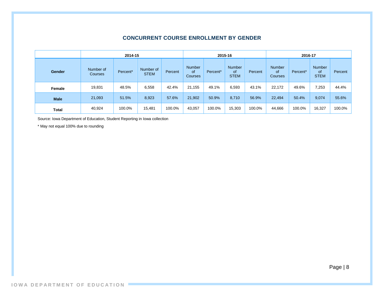#### **CONCURRENT COURSE ENROLLMENT BY GENDER**

|              |                      | 2015-16              |                          |         |                                       | 2016-17              |                                    |         |                                |          |                                           |         |
|--------------|----------------------|----------------------|--------------------------|---------|---------------------------------------|----------------------|------------------------------------|---------|--------------------------------|----------|-------------------------------------------|---------|
| Gender       | Number of<br>Courses | Percent <sup>*</sup> | Number of<br><b>STEM</b> | Percent | <b>Number</b><br>of<br><b>Courses</b> | Percent <sup>*</sup> | <b>Number</b><br>of<br><b>STEM</b> | Percent | Number<br><b>of</b><br>Courses | Percent* | <b>Number</b><br><b>of</b><br><b>STEM</b> | Percent |
| Female       | 19,831               | 48.5%                | 6,558                    | 42.4%   | 21,155                                | 49.1%                | 6,593                              | 43.1%   | 22,172                         | 49.6%    | 7,253                                     | 44.4%   |
| <b>Male</b>  | 21,093               | 51.5%                | 8,923                    | 57.6%   | 21,902                                | 50.9%                | 8,710                              | 56.9%   | 22,494                         | 50.4%    | 9,074                                     | 55.6%   |
| <b>Total</b> | 40,924               | 100.0%               | 15,481                   | 100.0%  | 43,057                                | 100.0%               | 15,303                             | 100.0%  | 44,666                         | 100.0%   | 16,327                                    | 100.0%  |

Source: Iowa Department of Education, Student Reporting in Iowa collection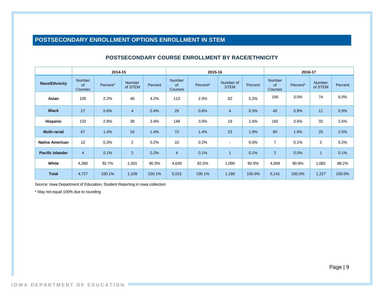### **POSTSECONDARY ENROLLMENT OPTIONS ENROLLMENT IN STEM**

<span id="page-8-0"></span>

|                         |                                       | 2014-15  |                          |         |                                       | 2015-16  | 2016-17                  |         |                                |          |                   |         |
|-------------------------|---------------------------------------|----------|--------------------------|---------|---------------------------------------|----------|--------------------------|---------|--------------------------------|----------|-------------------|---------|
| <b>Race/Ethnicity</b>   | <b>Number</b><br>of<br><b>Courses</b> | Percent* | <b>Number</b><br>of STEM | Percent | <b>Number</b><br>of<br><b>Courses</b> | Percent* | Number of<br><b>STEM</b> | Percent | <b>Number</b><br>of<br>Courses | Percent* | Number<br>of STEM | Percent |
| Asian                   | 105                                   | 2.2%     | 46                       | 4.2%    | 113                                   | 2.3%     | 62                       | 5.2%    | 156                            | 3.0%     | 74                | 6.0%    |
| <b>Black</b>            | 27                                    | 0.6%     | $\overline{4}$           | 0.4%    | 29                                    | 0.6%     | $\overline{4}$           | 0.3%    | 45                             | 0.9%     | 11                | 0.9%    |
| Hispanic                | 132                                   | 2.8%     | 38                       | 3.4%    | 148                                   | 3.0%     | 19                       | 1.6%    | 182                            | 3.5%     | 32                | 2.6%    |
| <b>Multi-racial</b>     | 67                                    | 1.4%     | 16                       | 1.4%    | 72                                    | 1.4%     | 23                       | 1.9%    | 80                             | 1.6%     | 25                | 2.0%    |
| <b>Native American</b>  | 12                                    | 0.3%     | 2                        | 0.2%    | 10                                    | 0.2%     | $\overline{\phantom{a}}$ | 0.0%    | $\overline{7}$                 | 0.1%     | $\overline{2}$    | 0.2%    |
| <b>Pacific Islander</b> | $\overline{4}$                        | 0.1%     | 2 <sup>2</sup>           | 0.2%    | $\overline{4}$                        | 0.1%     | 1                        | 0.1%    | $\overline{2}$                 | 0.0%     |                   | 0.1%    |
| White                   | 4,380                                 | 92.7%    | 1,001                    | 90.3%   | 4,639                                 | 92.5%    | 1,090                    | 90.9%   | 4,669                          | 90.8%    | 1,082             | 88.2%   |
| <b>Total</b>            | 4,727                                 | 100.1%   | 1,109                    | 100.1%  | 5,015                                 | 100.1%   | 1,199                    | 100.0%  | 5,141                          | 100.0%   | 1,227             | 100.0%  |

#### **POSTSECONDARY COURSE ENROLLMENT BY RACE/ETHNICITY**

Source: Iowa Department of Education, Student Reporting in Iowa collection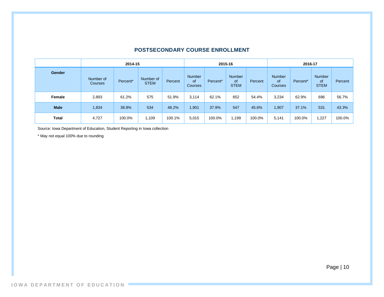|               |                      | 2015-16  |                          |         |                                       | 2016-17              |                                           |         |                                       |          |                                           |         |
|---------------|----------------------|----------|--------------------------|---------|---------------------------------------|----------------------|-------------------------------------------|---------|---------------------------------------|----------|-------------------------------------------|---------|
| <b>Gender</b> | Number of<br>Courses | Percent* | Number of<br><b>STEM</b> | Percent | <b>Number</b><br>0f<br><b>Courses</b> | Percent <sup>*</sup> | <b>Number</b><br><b>of</b><br><b>STEM</b> | Percent | Number<br><b>of</b><br><b>Courses</b> | Percent* | <b>Number</b><br><b>of</b><br><b>STEM</b> | Percent |
| Female        | 2,893                | 61.2%    | 575                      | 51.9%   | 3,114                                 | 62.1%                | 652                                       | 54.4%   | 3,234                                 | 62.9%    | 696                                       | 56.7%   |
| <b>Male</b>   | 1,834                | 38.8%    | 534                      | 48.2%   | ,901                                  | 37.9%                | 547                                       | 45.6%   | 1,907                                 | 37.1%    | 531                                       | 43.3%   |
| <b>Total</b>  | 4,727                | 100.0%   | 1,109                    | 100.1%  | 5,015                                 | 100.0%               | 1,199                                     | 100.0%  | 5,141                                 | 100.0%   | .227                                      | 100.0%  |

#### **POSTSECONDARY COURSE ENROLLMENT**

Source: Iowa Department of Education, Student Reporting in Iowa collection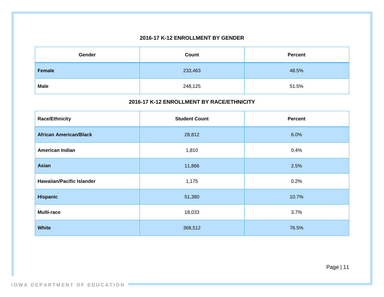#### **2016-17 K-12 ENROLLMENT BY GENDER**

| Gender        | Count   | <b>Percent</b> |
|---------------|---------|----------------|
| <b>Female</b> | 233,463 | 48.5%          |
| <b>Male</b>   | 248,125 | 51.5%          |

#### **2016-17 K-12 ENROLLMENT BY RACE/ETHNICITY**

| <b>Race/Ethnicity</b>            | <b>Student Count</b> | <b>Percent</b> |
|----------------------------------|----------------------|----------------|
| <b>African American/Black</b>    | 28,812               | 6.0%           |
| American Indian                  | 1,810                | 0.4%           |
| <b>Asian</b>                     | 11,866               | 2.5%           |
| <b>Hawaiian/Pacific Islander</b> | 1,175                | 0.2%           |
| <b>Hispanic</b>                  | 51,380               | 10.7%          |
| <b>Multi-race</b>                | 18,033               | 3.7%           |
| <b>White</b>                     | 368,512              | 76.5%          |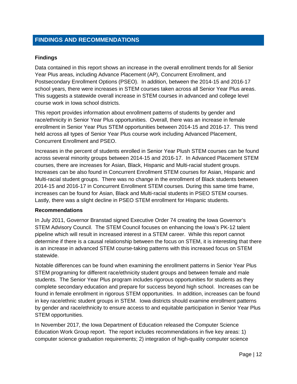#### <span id="page-11-0"></span>**FINDINGS AND RECOMMENDATIONS**

#### **Findings**

Data contained in this report shows an increase in the overall enrollment trends for all Senior Year Plus areas, including Advance Placement (AP), Concurrent Enrollment, and Postsecondary Enrollment Options (PSEO). In addition, between the 2014-15 and 2016-17 school years, there were increases in STEM courses taken across all Senior Year Plus areas. This suggests a statewide overall increase in STEM courses in advanced and college level course work in Iowa school districts.

This report provides information about enrollment patterns of students by gender and race/ethnicity in Senior Year Plus opportunities. Overall, there was an increase in female enrollment in Senior Year Plus STEM opportunities between 2014-15 and 2016-17. This trend held across all types of Senior Year Plus course work including Advanced Placement, Concurrent Enrollment and PSEO.

Increases in the percent of students enrolled in Senior Year Plush STEM courses can be found across several minority groups between 2014-15 and 2016-17. In Advanced Placement STEM courses, there are increases for Asian, Black, Hispanic and Multi-racial student groups. Increases can be also found in Concurrent Enrollment STEM courses for Asian, Hispanic and Multi-racial student groups. There was no change in the enrollment of Black students between 2014-15 and 2016-17 in Concurrent Enrollment STEM courses. During this same time frame, increases can be found for Asian, Black and Multi-racial students in PSEO STEM courses. Lastly, there was a slight decline in PSEO STEM enrollment for Hispanic students.

#### **Recommendations**

In July 2011, Governor Branstad signed Executive Order 74 creating the Iowa Governor's STEM Advisory Council. The STEM Council focuses on enhancing the Iowa's PK-12 talent pipeline which will result in increased interest in a STEM career. While this report cannot determine if there is a causal relationship between the focus on STEM, it is interesting that there is an increase in advanced STEM course-taking patterns with this increased focus on STEM statewide.

Notable differences can be found when examining the enrollment patterns in Senior Year Plus STEM programing for different race/ethnicity student groups and between female and male students. The Senior Year Plus program includes rigorous opportunities for students as they complete secondary education and prepare for success beyond high school. Increases can be found in female enrollment in rigorous STEM opportunities. In addition, increases can be found in key race/ethnic student groups in STEM. Iowa districts should examine enrollment patterns by gender and race/ethnicity to ensure access to and equitable participation in Senior Year Plus STEM opportunities.

In November 2017, the Iowa Department of Education released the Computer Science Education Work Group report. The report includes recommendations in five key areas: 1) computer science graduation requirements; 2) integration of high-quality computer science